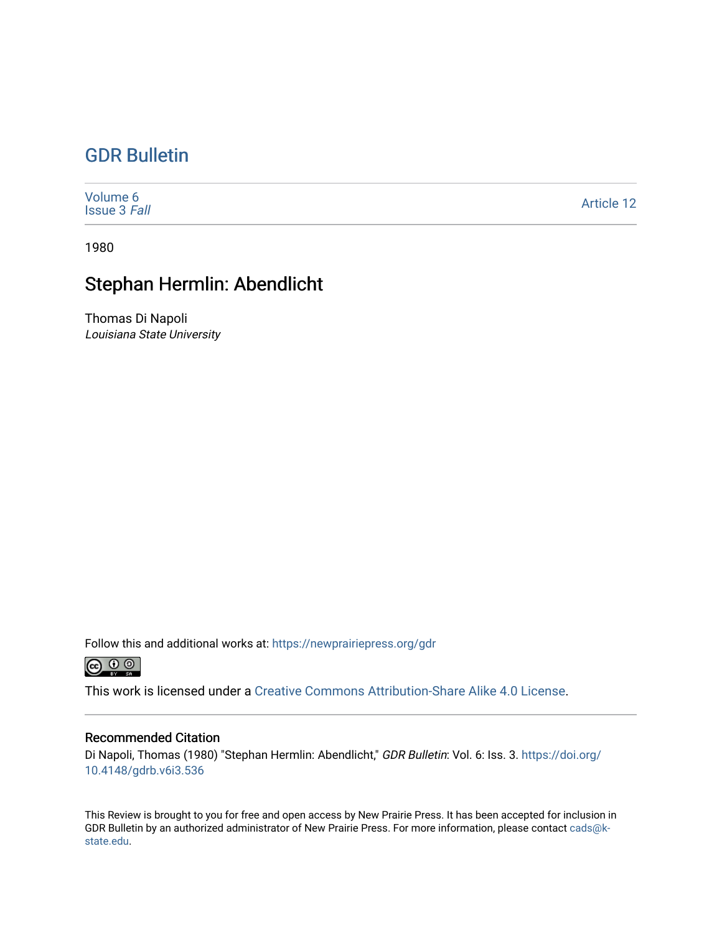## [GDR Bulletin](https://newprairiepress.org/gdr)

| Volume 6<br><b>Issue 3 Fall</b> | <b>Article 12</b> |
|---------------------------------|-------------------|
|---------------------------------|-------------------|

1980

## Stephan Hermlin: Abendlicht

Thomas Di Napoli Louisiana State University

Follow this and additional works at: [https://newprairiepress.org/gdr](https://newprairiepress.org/gdr?utm_source=newprairiepress.org%2Fgdr%2Fvol6%2Fiss3%2F12&utm_medium=PDF&utm_campaign=PDFCoverPages) 



This work is licensed under a [Creative Commons Attribution-Share Alike 4.0 License.](https://creativecommons.org/licenses/by-sa/4.0/)

## Recommended Citation

Di Napoli, Thomas (1980) "Stephan Hermlin: Abendlicht," GDR Bulletin: Vol. 6: Iss. 3. [https://doi.org/](https://doi.org/10.4148/gdrb.v6i3.536) [10.4148/gdrb.v6i3.536](https://doi.org/10.4148/gdrb.v6i3.536)

This Review is brought to you for free and open access by New Prairie Press. It has been accepted for inclusion in GDR Bulletin by an authorized administrator of New Prairie Press. For more information, please contact [cads@k](mailto:cads@k-state.edu)[state.edu](mailto:cads@k-state.edu).